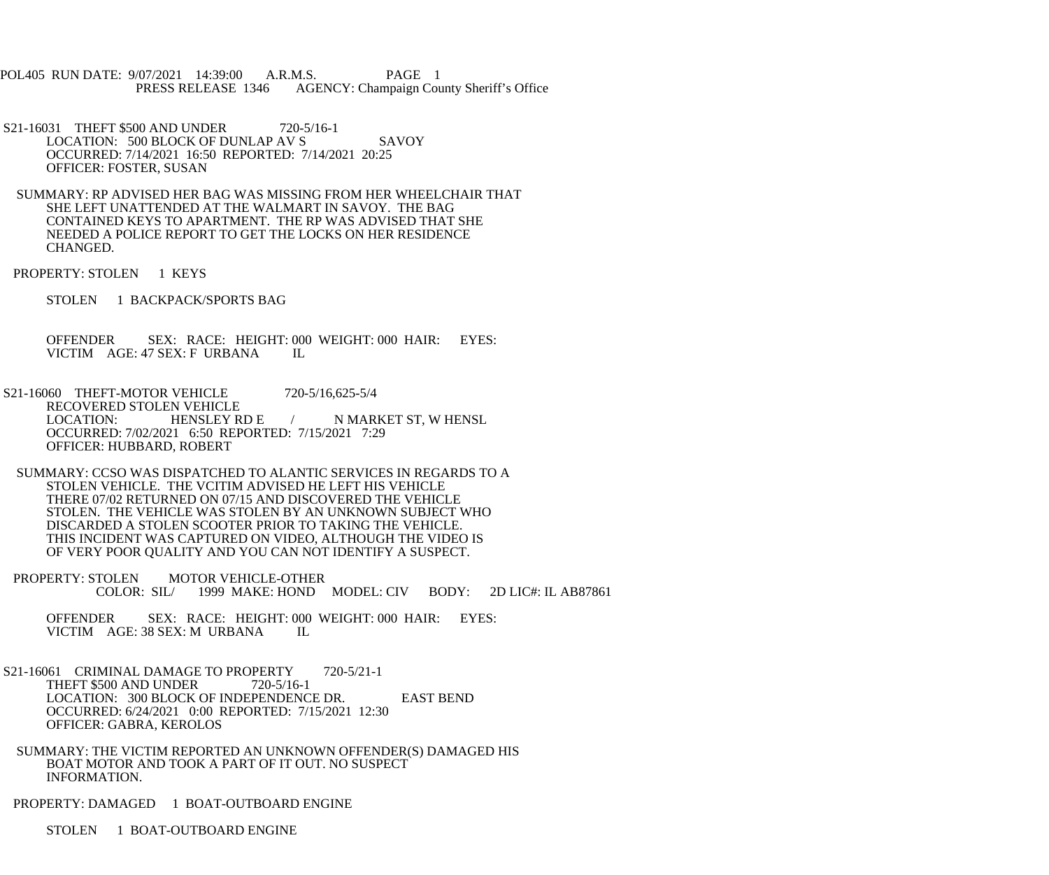POL405 RUN DATE: 9/07/2021 14:39:00 A.R.M.S. PAGE 1 PRESS RELEASE 1346 AGENCY: Champaign County Sheriff's Office

- S21-16031 THEFT \$500 AND UNDER 720-5/16-1 LOCATION: 500 BLOCK OF DUNLAP AV S SAVOY OCCURRED: 7/14/2021 16:50 REPORTED: 7/14/2021 20:25 OFFICER: FOSTER, SUSAN
- SUMMARY: RP ADVISED HER BAG WAS MISSING FROM HER WHEELCHAIR THAT SHE LEFT UNATTENDED AT THE WALMART IN SAVOY. THE BAG CONTAINED KEYS TO APARTMENT. THE RP WAS ADVISED THAT SHE NEEDED A POLICE REPORT TO GET THE LOCKS ON HER RESIDENCE CHANGED.
- PROPERTY: STOLEN 1 KEYS
	- STOLEN 1 BACKPACK/SPORTS BAG

 OFFENDER SEX: RACE: HEIGHT: 000 WEIGHT: 000 HAIR: EYES: VICTIM AGE: 47 SEX: F URBANA IL

- S21-16060 THEFT-MOTOR VEHICLE 720-5/16,625-5/4 RECOVERED STOLEN VEHICLE LOCATION: HENSLEY RD E / N MARKET ST, W HENSL OCCURRED: 7/02/2021 6:50 REPORTED: 7/15/2021 7:29 OFFICER: HUBBARD, ROBERT
- SUMMARY: CCSO WAS DISPATCHED TO ALANTIC SERVICES IN REGARDS TO A STOLEN VEHICLE. THE VCITIM ADVISED HE LEFT HIS VEHICLE THERE 07/02 RETURNED ON 07/15 AND DISCOVERED THE VEHICLE STOLEN. THE VEHICLE WAS STOLEN BY AN UNKNOWN SUBJECT WHO DISCARDED A STOLEN SCOOTER PRIOR TO TAKING THE VEHICLE. THIS INCIDENT WAS CAPTURED ON VIDEO, ALTHOUGH THE VIDEO IS OF VERY POOR QUALITY AND YOU CAN NOT IDENTIFY A SUSPECT.
- PROPERTY: STOLEN MOTOR VEHICLE-OTHER<br>COLOR: SIL/ 1999 MAKE: HOND 1999 MAKE: HOND MODEL: CIV BODY: 2D LIC#: IL AB87861

 OFFENDER SEX: RACE: HEIGHT: 000 WEIGHT: 000 HAIR: EYES: VICTIM AGE: 38 SEX: M URBANA IL

- S21-16061 CRIMINAL DAMAGE TO PROPERTY 720-5/21-1 THEFT \$500 AND UNDER 720-5/16-1 LOCATION: 300 BLOCK OF INDEPENDENCE DR. EAST BEND OCCURRED: 6/24/2021 0:00 REPORTED: 7/15/2021 12:30 OFFICER: GABRA, KEROLOS
- SUMMARY: THE VICTIM REPORTED AN UNKNOWN OFFENDER(S) DAMAGED HIS BOAT MOTOR AND TOOK A PART OF IT OUT. NO SUSPECT INFORMATION.
- PROPERTY: DAMAGED 1 BOAT-OUTBOARD ENGINE

STOLEN 1 BOAT-OUTBOARD ENGINE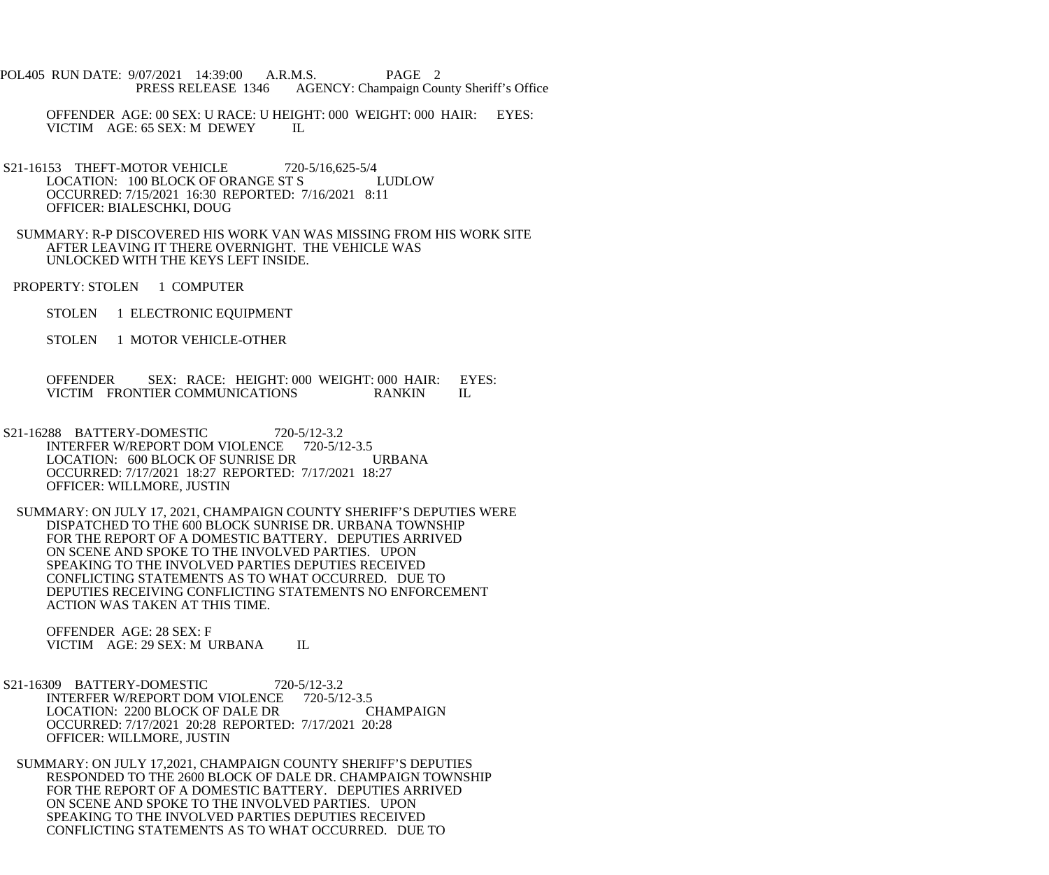- POL405 RUN DATE: 9/07/2021 14:39:00 A.R.M.S. PAGE 2<br>PRESS RELEASE 1346 AGENCY: Champaign Cou AGENCY: Champaign County Sheriff's Office
	- OFFENDER AGE: 00 SEX: U RACE: U HEIGHT: 000 WEIGHT: 000 HAIR: EYES: VICTIM AGE: 65 SEX: M DEWEY IL
- S21-16153 THEFT-MOTOR VEHICLE 720-5/16,625-5/4<br>LOCATION: 100 BLOCK OF ORANGE ST S LUDLOW LOCATION: 100 BLOCK OF ORANGE ST S OCCURRED: 7/15/2021 16:30 REPORTED: 7/16/2021 8:11 OFFICER: BIALESCHKI, DOUG
- SUMMARY: R-P DISCOVERED HIS WORK VAN WAS MISSING FROM HIS WORK SITE AFTER LEAVING IT THERE OVERNIGHT. THE VEHICLE WAS UNLOCKED WITH THE KEYS LEFT INSIDE.
- PROPERTY: STOLEN 1 COMPUTER
	- STOLEN 1 ELECTRONIC EQUIPMENT
	- STOLEN 1 MOTOR VEHICLE-OTHER

 OFFENDER SEX: RACE: HEIGHT: 000 WEIGHT: 000 HAIR: EYES: VICTIM FRONTIER COMMUNICATIONS RANKIN IL

- S21-16288 BATTERY-DOMESTIC 720-5/12-3.2 INTERFER W/REPORT DOM VIOLENCE 720-5/12-3.5 LOCATION: 600 BLOCK OF SUNRISE DR URBANA OCCURRED: 7/17/2021 18:27 REPORTED: 7/17/2021 18:27 OFFICER: WILLMORE, JUSTIN
- SUMMARY: ON JULY 17, 2021, CHAMPAIGN COUNTY SHERIFF'S DEPUTIES WERE DISPATCHED TO THE 600 BLOCK SUNRISE DR. URBANA TOWNSHIP FOR THE REPORT OF A DOMESTIC BATTERY. DEPUTIES ARRIVED ON SCENE AND SPOKE TO THE INVOLVED PARTIES. UPON SPEAKING TO THE INVOLVED PARTIES DEPUTIES RECEIVED CONFLICTING STATEMENTS AS TO WHAT OCCURRED. DUE TO DEPUTIES RECEIVING CONFLICTING STATEMENTS NO ENFORCEMENT ACTION WAS TAKEN AT THIS TIME.

 OFFENDER AGE: 28 SEX: F VICTIM AGE: 29 SEX: M URBANA IL

- S21-16309 BATTERY-DOMESTIC 720-5/12-3.2<br>INTERFER W/REPORT DOM VIOLENCE 720-5/12-3.5 INTERFER W/REPORT DOM VIOLENCE LOCATION: 2200 BLOCK OF DALE DR CHAMPAIGN OCCURRED: 7/17/2021 20:28 REPORTED: 7/17/2021 20:28 OFFICER: WILLMORE, JUSTIN
	- SUMMARY: ON JULY 17,2021, CHAMPAIGN COUNTY SHERIFF'S DEPUTIES RESPONDED TO THE 2600 BLOCK OF DALE DR. CHAMPAIGN TOWNSHIP FOR THE REPORT OF A DOMESTIC BATTERY. DEPUTIES ARRIVED ON SCENE AND SPOKE TO THE INVOLVED PARTIES. UPON SPEAKING TO THE INVOLVED PARTIES DEPUTIES RECEIVED CONFLICTING STATEMENTS AS TO WHAT OCCURRED. DUE TO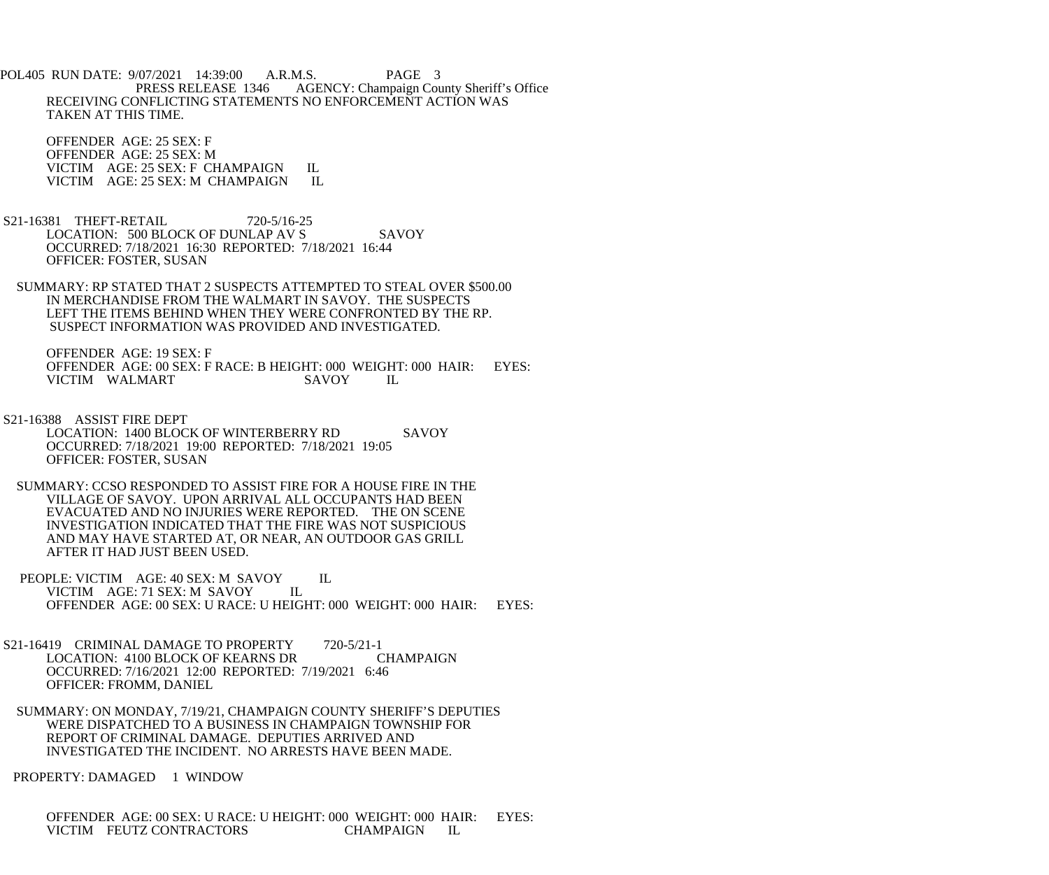POL405 RUN DATE: 9/07/2021 14:39:00 A.R.M.S. PAGE 3<br>PRESS RELEASE 1346 AGENCY: Champaign Cou AGENCY: Champaign County Sheriff's Office RECEIVING CONFLICTING STATEMENTS NO ENFORCEMENT ACTION WAS TAKEN AT THIS TIME.

 OFFENDER AGE: 25 SEX: F OFFENDER AGE: 25 SEX: M VICTIM AGE: 25 SEX: F CHAMPAIGN IL<br>VICTIM AGE: 25 SEX: M CHAMPAIGN IL VICTIM AGE: 25 SEX: M CHAMPAIGN

- S21-16381 THEFT-RETAIL 720-5/16-25 LOCATION: 500 BLOCK OF DUNLAP AV S SAVOY OCCURRED: 7/18/2021 16:30 REPORTED: 7/18/2021 16:44 OFFICER: FOSTER, SUSAN
- SUMMARY: RP STATED THAT 2 SUSPECTS ATTEMPTED TO STEAL OVER \$500.00 IN MERCHANDISE FROM THE WALMART IN SAVOY. THE SUSPECTS LEFT THE ITEMS BEHIND WHEN THEY WERE CONFRONTED BY THE RP. SUSPECT INFORMATION WAS PROVIDED AND INVESTIGATED.

 OFFENDER AGE: 19 SEX: F OFFENDER AGE: 00 SEX: F RACE: B HEIGHT: 000 WEIGHT: 000 HAIR: EYES:<br>VICTIM WALMART SAVOY IL VICTIM WALMART SAVOY IL

- S21-16388 ASSIST FIRE DEPT LOCATION: 1400 BLOCK OF WINTERBERRY RD SAVOY OCCURRED: 7/18/2021 19:00 REPORTED: 7/18/2021 19:05 OFFICER: FOSTER, SUSAN
- SUMMARY: CCSO RESPONDED TO ASSIST FIRE FOR A HOUSE FIRE IN THE VILLAGE OF SAVOY. UPON ARRIVAL ALL OCCUPANTS HAD BEEN EVACUATED AND NO INJURIES WERE REPORTED. THE ON SCENE INVESTIGATION INDICATED THAT THE FIRE WAS NOT SUSPICIOUS AND MAY HAVE STARTED AT, OR NEAR, AN OUTDOOR GAS GRILL AFTER IT HAD JUST BEEN USED.
- PEOPLE: VICTIM AGE: 40 SEX: M SAVOY IL<br>VICTIM AGE: 71 SEX: M SAVOY IL VICTIM AGE: 71 SEX: M SAVOY OFFENDER AGE: 00 SEX: U RACE: U HEIGHT: 000 WEIGHT: 000 HAIR: EYES:
- S21-16419 CRIMINAL DAMAGE TO PROPERTY 720-5/21-1 LOCATION: 4100 BLOCK OF KEARNS DR CHAMPAIGN OCCURRED: 7/16/2021 12:00 REPORTED: 7/19/2021 6:46 OFFICER: FROMM, DANIEL
- SUMMARY: ON MONDAY, 7/19/21, CHAMPAIGN COUNTY SHERIFF'S DEPUTIES WERE DISPATCHED TO A BUSINESS IN CHAMPAIGN TOWNSHIP FOR REPORT OF CRIMINAL DAMAGE. DEPUTIES ARRIVED AND INVESTIGATED THE INCIDENT. NO ARRESTS HAVE BEEN MADE.

PROPERTY: DAMAGED 1 WINDOW

 OFFENDER AGE: 00 SEX: U RACE: U HEIGHT: 000 WEIGHT: 000 HAIR: EYES: VICTIM FEUTZ CONTRACTORS CHAMPAIGN IL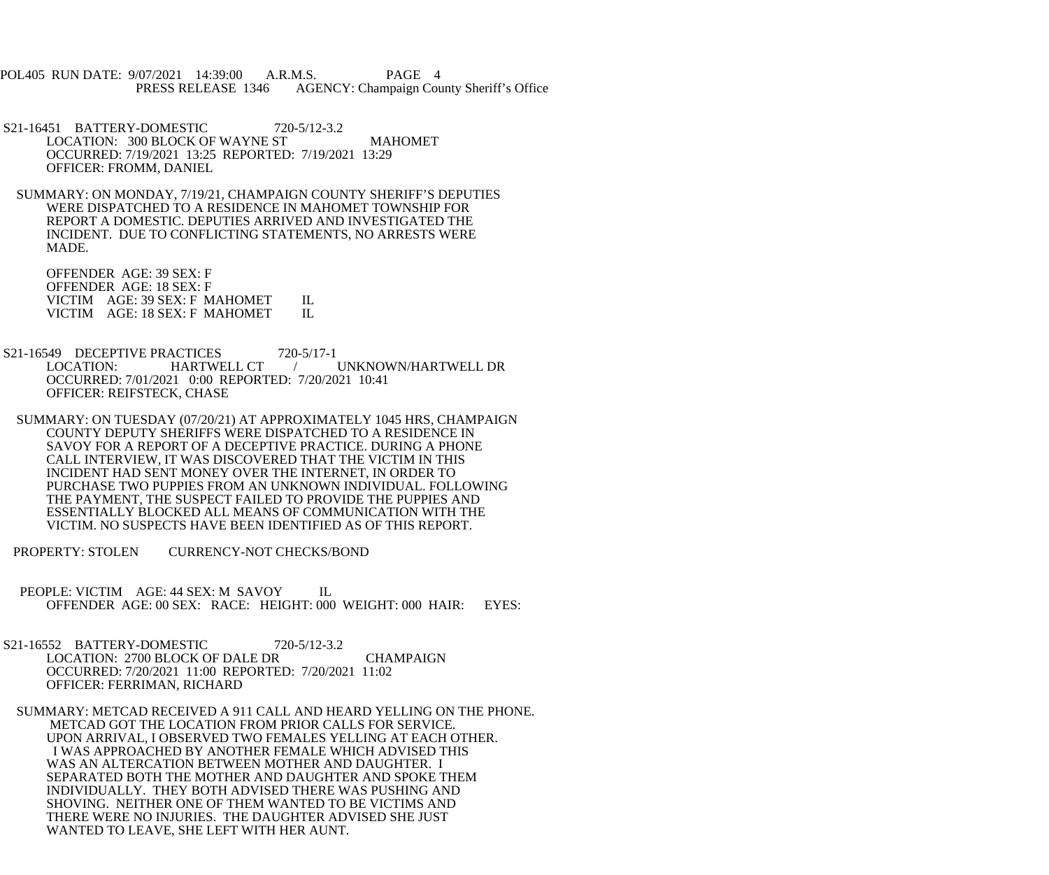POL405 RUN DATE: 9/07/2021 14:39:00 A.R.M.S. PAGE 4 PRESS RELEASE 1346 AGENCY: Champaign County Sheriff's Office

- S21-16451 BATTERY-DOMESTIC 720-5/12-3.2 LOCATION: 300 BLOCK OF WAYNE ST MAHOMET OCCURRED: 7/19/2021 13:25 REPORTED: 7/19/2021 13:29 OFFICER: FROMM, DANIEL
- SUMMARY: ON MONDAY, 7/19/21, CHAMPAIGN COUNTY SHERIFF'S DEPUTIES WERE DISPATCHED TO A RESIDENCE IN MAHOMET TOWNSHIP FOR REPORT A DOMESTIC. DEPUTIES ARRIVED AND INVESTIGATED THE INCIDENT. DUE TO CONFLICTING STATEMENTS, NO ARRESTS WERE MADE.

 OFFENDER AGE: 39 SEX: F OFFENDER AGE: 18 SEX: F VICTIM AGE: 39 SEX: F MAHOMET IL VICTIM AGE: 18 SEX: F MAHOMET IL

- S21-16549 DECEPTIVE PRACTICES 720-5/17-1<br>LOCATION: HARTWELL CT / UNKNOWN/HARTWELL DR OCCURRED: 7/01/2021 0:00 REPORTED: 7/20/2021 10:41 OFFICER: REIFSTECK, CHASE
- SUMMARY: ON TUESDAY (07/20/21) AT APPROXIMATELY 1045 HRS, CHAMPAIGN COUNTY DEPUTY SHERIFFS WERE DISPATCHED TO A RESIDENCE IN SAVOY FOR A REPORT OF A DECEPTIVE PRACTICE. DURING A PHONE CALL INTERVIEW, IT WAS DISCOVERED THAT THE VICTIM IN THIS INCIDENT HAD SENT MONEY OVER THE INTERNET, IN ORDER TO PURCHASE TWO PUPPIES FROM AN UNKNOWN INDIVIDUAL. FOLLOWING THE PAYMENT, THE SUSPECT FAILED TO PROVIDE THE PUPPIES AND ESSENTIALLY BLOCKED ALL MEANS OF COMMUNICATION WITH THE VICTIM. NO SUSPECTS HAVE BEEN IDENTIFIED AS OF THIS REPORT.
- PROPERTY: STOLEN CURRENCY-NOT CHECKS/BOND
- PEOPLE: VICTIM AGE: 44 SEX: M SAVOY IL OFFENDER AGE: 00 SEX: RACE: HEIGHT: 000 WEIGHT: 000 HAIR: EYES:
- S21-16552 BATTERY-DOMESTIC 720-5/12-3.2 LOCATION: 2700 BLOCK OF DALE DR CHAMPAIGN OCCURRED: 7/20/2021 11:00 REPORTED: 7/20/2021 11:02 OFFICER: FERRIMAN, RICHARD
- SUMMARY: METCAD RECEIVED A 911 CALL AND HEARD YELLING ON THE PHONE. METCAD GOT THE LOCATION FROM PRIOR CALLS FOR SERVICE. UPON ARRIVAL, I OBSERVED TWO FEMALES YELLING AT EACH OTHER. I WAS APPROACHED BY ANOTHER FEMALE WHICH ADVISED THIS WAS AN ALTERCATION BETWEEN MOTHER AND DAUGHTER. I SEPARATED BOTH THE MOTHER AND DAUGHTER AND SPOKE THEM INDIVIDUALLY. THEY BOTH ADVISED THERE WAS PUSHING AND SHOVING. NEITHER ONE OF THEM WANTED TO BE VICTIMS AND THERE WERE NO INJURIES. THE DAUGHTER ADVISED SHE JUST WANTED TO LEAVE, SHE LEFT WITH HER AUNT.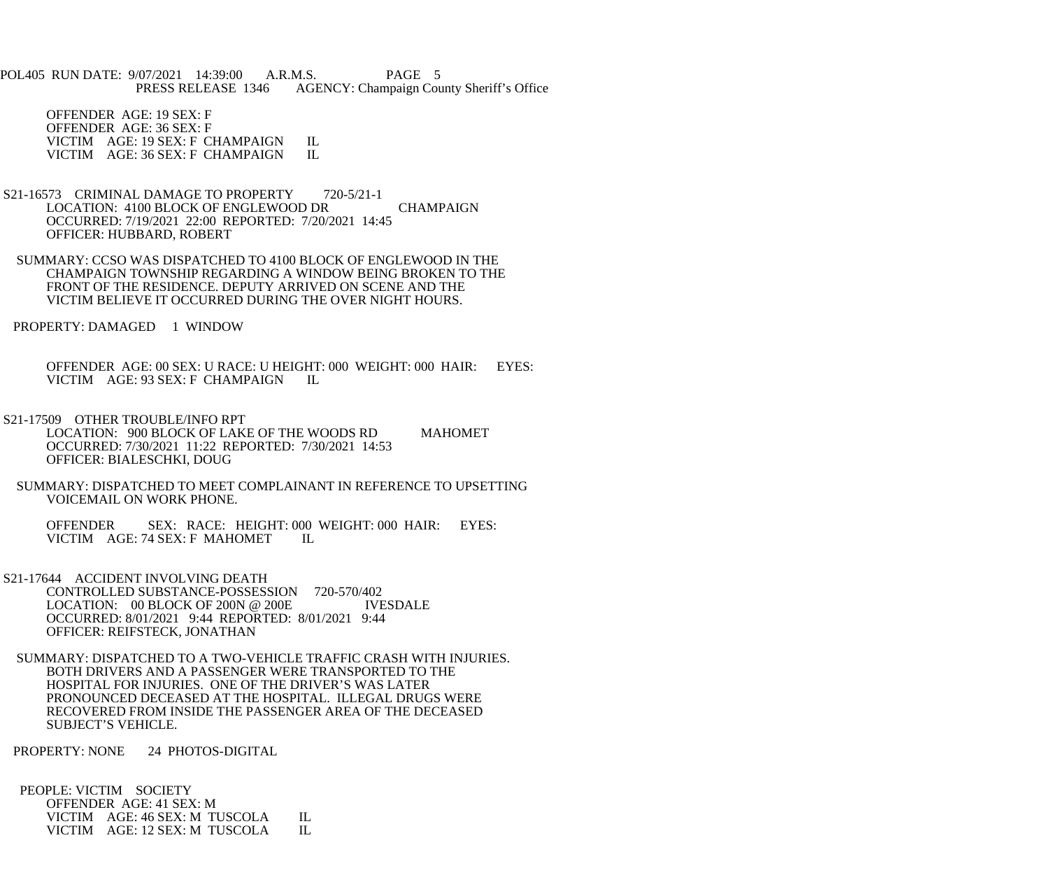POL405 RUN DATE: 9/07/2021 14:39:00 A.R.M.S. PAGE 5 PRESS RELEASE 1346 AGENCY: Champaign County Sheriff's Office

 OFFENDER AGE: 19 SEX: F OFFENDER AGE: 36 SEX: F VICTIM AGE: 19 SEX: F CHAMPAIGN IL<br>VICTIM AGE: 36 SEX: F CHAMPAIGN IL VICTIM AGE: 36 SEX: F CHAMPAIGN

- S21-16573 CRIMINAL DAMAGE TO PROPERTY 720-5/21-1 LOCATION: 4100 BLOCK OF ENGLEWOOD DR CHAMPAIGN OCCURRED: 7/19/2021 22:00 REPORTED: 7/20/2021 14:45 OFFICER: HUBBARD, ROBERT
- SUMMARY: CCSO WAS DISPATCHED TO 4100 BLOCK OF ENGLEWOOD IN THE CHAMPAIGN TOWNSHIP REGARDING A WINDOW BEING BROKEN TO THE FRONT OF THE RESIDENCE. DEPUTY ARRIVED ON SCENE AND THE VICTIM BELIEVE IT OCCURRED DURING THE OVER NIGHT HOURS.

PROPERTY: DAMAGED 1 WINDOW

 OFFENDER AGE: 00 SEX: U RACE: U HEIGHT: 000 WEIGHT: 000 HAIR: EYES: VICTIM AGE: 93 SEX: F CHAMPAIGN IL

- S21-17509 OTHER TROUBLE/INFO RPT LOCATION: 900 BLOCK OF LAKE OF THE WOODS RD MAHOMET OCCURRED: 7/30/2021 11:22 REPORTED: 7/30/2021 14:53 OFFICER: BIALESCHKI, DOUG
- SUMMARY: DISPATCHED TO MEET COMPLAINANT IN REFERENCE TO UPSETTING VOICEMAIL ON WORK PHONE.

 OFFENDER SEX: RACE: HEIGHT: 000 WEIGHT: 000 HAIR: EYES: VICTIM AGE: 74 SEX: F MAHOMET IL

- S21-17644 ACCIDENT INVOLVING DEATH CONTROLLED SUBSTANCE-POSSESSION 720-570/402 LOCATION: 00 BLOCK OF 200N @ 200E IVESDALE OCCURRED: 8/01/2021 9:44 REPORTED: 8/01/2021 9:44 OFFICER: REIFSTECK, JONATHAN
- SUMMARY: DISPATCHED TO A TWO-VEHICLE TRAFFIC CRASH WITH INJURIES. BOTH DRIVERS AND A PASSENGER WERE TRANSPORTED TO THE HOSPITAL FOR INJURIES. ONE OF THE DRIVER'S WAS LATER PRONOUNCED DECEASED AT THE HOSPITAL. ILLEGAL DRUGS WERE RECOVERED FROM INSIDE THE PASSENGER AREA OF THE DECEASED SUBJECT'S VEHICLE.

PROPERTY: NONE 24 PHOTOS-DIGITAL

 PEOPLE: VICTIM SOCIETY OFFENDER AGE: 41 SEX: M VICTIM AGE: 46 SEX: M TUSCOLA IL<br>VICTIM AGE: 12 SEX: M TUSCOLA IL VICTIM AGE: 12 SEX: M TUSCOLA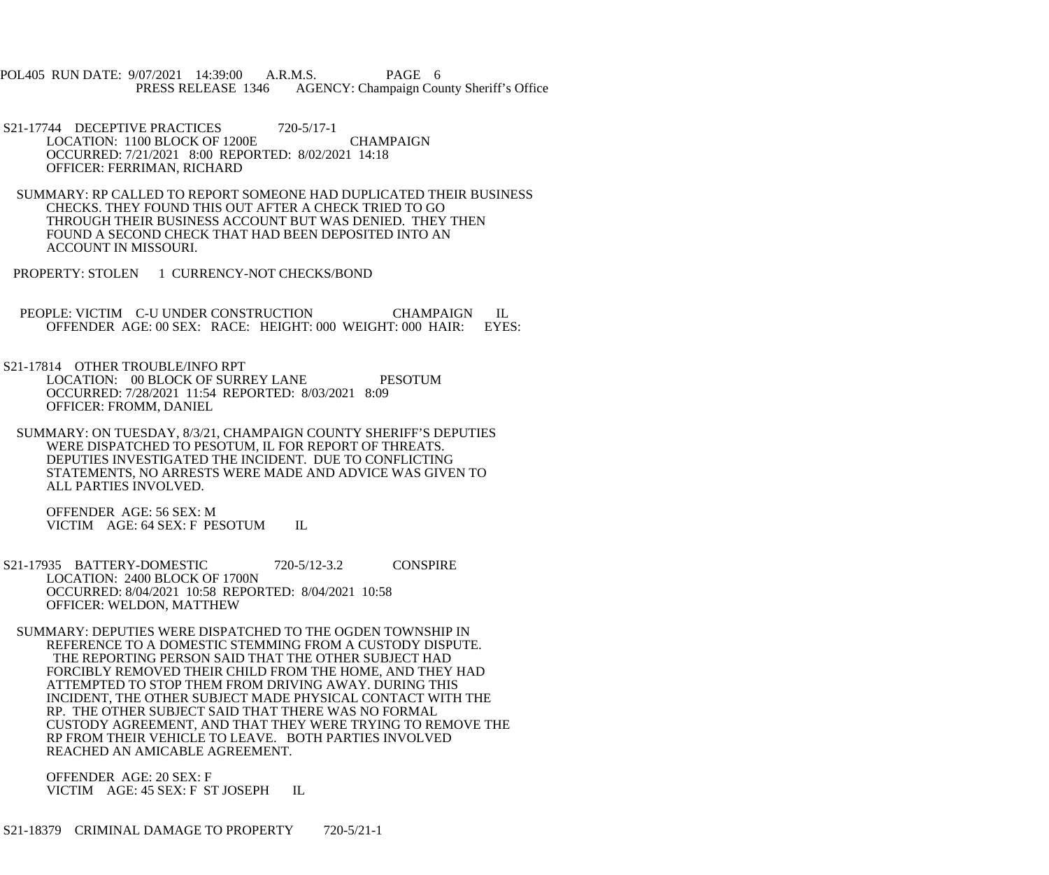POL405 RUN DATE: 9/07/2021 14:39:00 A.R.M.S. PAGE 6 PRESS RELEASE 1346 AGENCY: Champaign County Sheriff's Office

- S21-17744 DECEPTIVE PRACTICES 720-5/17-1 LOCATION: 1100 BLOCK OF 1200E CHAMPAIGN OCCURRED: 7/21/2021 8:00 REPORTED: 8/02/2021 14:18 OFFICER: FERRIMAN, RICHARD
- SUMMARY: RP CALLED TO REPORT SOMEONE HAD DUPLICATED THEIR BUSINESS CHECKS. THEY FOUND THIS OUT AFTER A CHECK TRIED TO GO THROUGH THEIR BUSINESS ACCOUNT BUT WAS DENIED. THEY THEN FOUND A SECOND CHECK THAT HAD BEEN DEPOSITED INTO AN ACCOUNT IN MISSOURI.
- PROPERTY: STOLEN 1 CURRENCY-NOT CHECKS/BOND
- PEOPLE: VICTIM C-U UNDER CONSTRUCTION CHAMPAIGN IL OFFENDER AGE: 00 SEX: RACE: HEIGHT: 000 WEIGHT: 000 HAIR: EYES: OFFENDER AGE: 00 SEX: RACE: HEIGHT: 000 WEIGHT: 000 HAIR:
- S21-17814 OTHER TROUBLE/INFO RPT LOCATION: 00 BLOCK OF SURREY LANE PESOTUM OCCURRED: 7/28/2021 11:54 REPORTED: 8/03/2021 8:09 OFFICER: FROMM, DANIEL
- SUMMARY: ON TUESDAY, 8/3/21, CHAMPAIGN COUNTY SHERIFF'S DEPUTIES WERE DISPATCHED TO PESOTUM, IL FOR REPORT OF THREATS. DEPUTIES INVESTIGATED THE INCIDENT. DUE TO CONFLICTING STATEMENTS, NO ARRESTS WERE MADE AND ADVICE WAS GIVEN TO ALL PARTIES INVOLVED.

 OFFENDER AGE: 56 SEX: M VICTIM AGE: 64 SEX: F PESOTUM IL

- S21-17935 BATTERY-DOMESTIC 720-5/12-3.2 CONSPIRE LOCATION: 2400 BLOCK OF 1700N OCCURRED: 8/04/2021 10:58 REPORTED: 8/04/2021 10:58 OFFICER: WELDON, MATTHEW
- SUMMARY: DEPUTIES WERE DISPATCHED TO THE OGDEN TOWNSHIP IN REFERENCE TO A DOMESTIC STEMMING FROM A CUSTODY DISPUTE. THE REPORTING PERSON SAID THAT THE OTHER SUBJECT HAD FORCIBLY REMOVED THEIR CHILD FROM THE HOME, AND THEY HAD ATTEMPTED TO STOP THEM FROM DRIVING AWAY. DURING THIS INCIDENT, THE OTHER SUBJECT MADE PHYSICAL CONTACT WITH THE RP. THE OTHER SUBJECT SAID THAT THERE WAS NO FORMAL CUSTODY AGREEMENT, AND THAT THEY WERE TRYING TO REMOVE THE RP FROM THEIR VEHICLE TO LEAVE. BOTH PARTIES INVOLVED REACHED AN AMICABLE AGREEMENT.

 OFFENDER AGE: 20 SEX: F VICTIM AGE: 45 SEX: F ST JOSEPH IL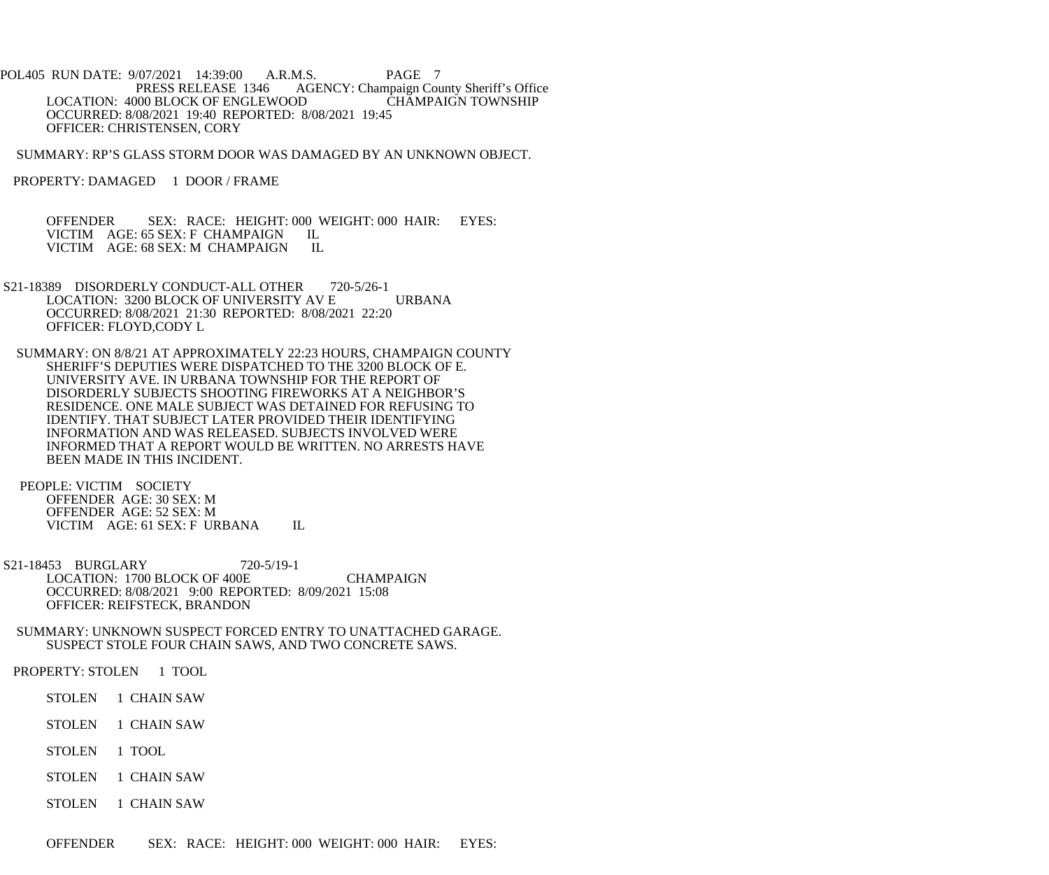POL405 RUN DATE: 9/07/2021 14:39:00 A.R.M.S. PAGE 7 PRESS RELEASE 1346 AGENCY: Champaign County Sheriff's Office LOCATION: 4000 BLOCK OF ENGLEWOOD CHAMPAIGN TOWNSHIP OCCURRED: 8/08/2021 19:40 REPORTED: 8/08/2021 19:45 OFFICER: CHRISTENSEN, CORY

SUMMARY: RP'S GLASS STORM DOOR WAS DAMAGED BY AN UNKNOWN OBJECT.

PROPERTY: DAMAGED 1 DOOR / FRAME

 OFFENDER SEX: RACE: HEIGHT: 000 WEIGHT: 000 HAIR: EYES: VICTIM AGE: 65 SEX: F CHAMPAIGN IL<br>VICTIM AGE: 68 SEX: M CHAMPAIGN IL VICTIM AGE: 68 SEX: M CHAMPAIGN

- S21-18389 DISORDERLY CONDUCT-ALL OTHER 720-5/26-1 LOCATION: 3200 BLOCK OF UNIVERSITY AV E URBANA OCCURRED: 8/08/2021 21:30 REPORTED: 8/08/2021 22:20 OFFICER: FLOYD,CODY L
- SUMMARY: ON 8/8/21 AT APPROXIMATELY 22:23 HOURS, CHAMPAIGN COUNTY SHERIFF'S DEPUTIES WERE DISPATCHED TO THE 3200 BLOCK OF E. UNIVERSITY AVE. IN URBANA TOWNSHIP FOR THE REPORT OF DISORDERLY SUBJECTS SHOOTING FIREWORKS AT A NEIGHBOR'S RESIDENCE. ONE MALE SUBJECT WAS DETAINED FOR REFUSING TO IDENTIFY. THAT SUBJECT LATER PROVIDED THEIR IDENTIFYING INFORMATION AND WAS RELEASED. SUBJECTS INVOLVED WERE INFORMED THAT A REPORT WOULD BE WRITTEN. NO ARRESTS HAVE BEEN MADE IN THIS INCIDENT.
- PEOPLE: VICTIM SOCIETY OFFENDER AGE: 30 SEX: M OFFENDER AGE: 52 SEX: M VICTIM AGE: 61 SEX: F URBANA IL
- S21-18453 BURGLARY 720-5/19-1 LOCATION: 1700 BLOCK OF 400E CHAMPAIGN OCCURRED: 8/08/2021 9:00 REPORTED: 8/09/2021 15:08 OFFICER: REIFSTECK, BRANDON
- SUMMARY: UNKNOWN SUSPECT FORCED ENTRY TO UNATTACHED GARAGE. SUSPECT STOLE FOUR CHAIN SAWS, AND TWO CONCRETE SAWS.

PROPERTY: STOLEN 1 TOOL

- STOLEN 1 CHAIN SAW
- STOLEN 1 CHAIN SAW
- STOLEN 1 TOOL
- STOLEN 1 CHAIN SAW
- STOLEN 1 CHAIN SAW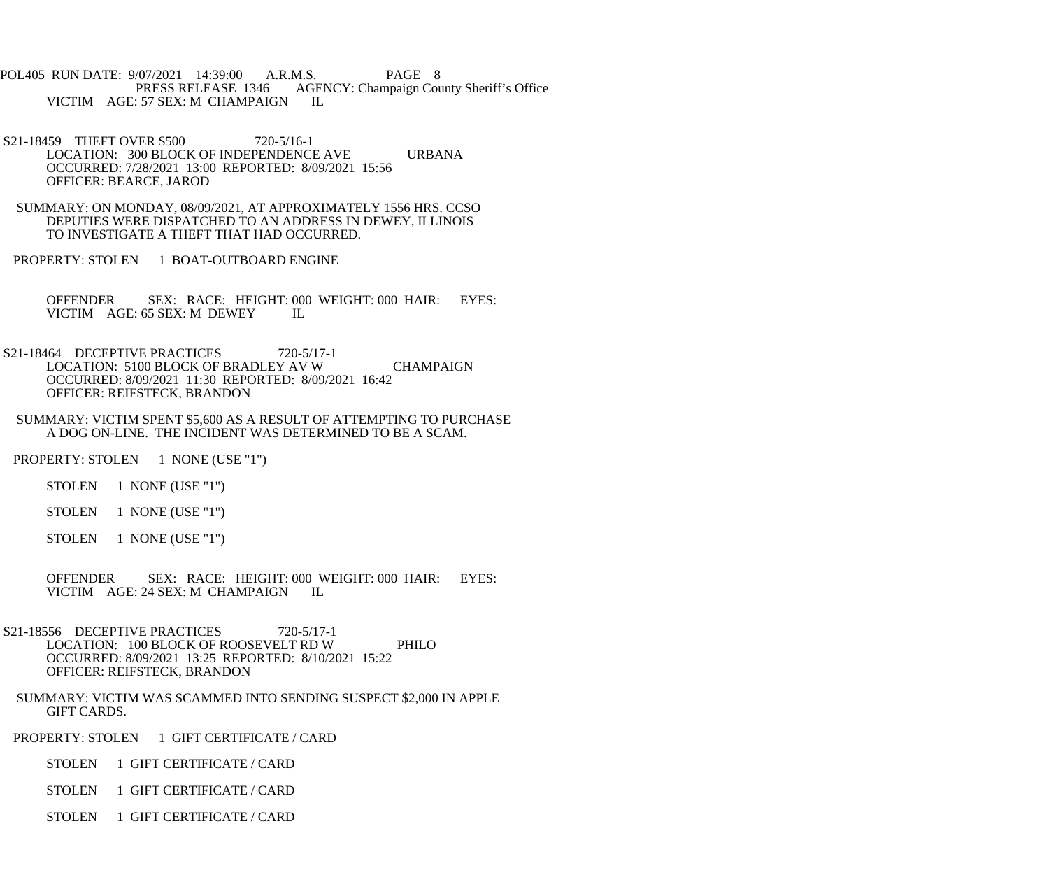POL405 RUN DATE: 9/07/2021 14:39:00 A.R.M.S. PAGE 8<br>PRESS RELEASE 1346 AGENCY: Champaign Cou AGENCY: Champaign County Sheriff's Office VICTIM AGE: 57 SEX: M CHAMPAIGN IL

S21-18459 THEFT OVER \$500 720-5/16-1 LOCATION: 300 BLOCK OF INDEPENDENCE AVE URBANA OCCURRED: 7/28/2021 13:00 REPORTED: 8/09/2021 15:56 OFFICER: BEARCE, JAROD

 SUMMARY: ON MONDAY, 08/09/2021, AT APPROXIMATELY 1556 HRS. CCSO DEPUTIES WERE DISPATCHED TO AN ADDRESS IN DEWEY, ILLINOIS TO INVESTIGATE A THEFT THAT HAD OCCURRED.

PROPERTY: STOLEN 1 BOAT-OUTBOARD ENGINE

 OFFENDER SEX: RACE: HEIGHT: 000 WEIGHT: 000 HAIR: EYES: VICTIM AGE: 65 SEX: M DEWEY IL

S21-18464 DECEPTIVE PRACTICES 720-5/17-1 LOCATION: 5100 BLOCK OF BRADLEY AV W CHAMPAIGN OCCURRED: 8/09/2021 11:30 REPORTED: 8/09/2021 16:42 OFFICER: REIFSTECK, BRANDON

 SUMMARY: VICTIM SPENT \$5,600 AS A RESULT OF ATTEMPTING TO PURCHASE A DOG ON-LINE. THE INCIDENT WAS DETERMINED TO BE A SCAM.

PROPERTY: STOLEN 1 NONE (USE "1")

STOLEN 1 NONE (USE "1")

STOLEN 1 NONE (USE "1")

STOLEN 1 NONE (USE "1")

 OFFENDER SEX: RACE: HEIGHT: 000 WEIGHT: 000 HAIR: EYES: VICTIM AGE: 24 SEX: M CHAMPAIGN IL

- S21-18556 DECEPTIVE PRACTICES 720-5/17-1 LOCATION: 100 BLOCK OF ROOSEVELT RD W PHILO OCCURRED: 8/09/2021 13:25 REPORTED: 8/10/2021 15:22 OFFICER: REIFSTECK, BRANDON
	- SUMMARY: VICTIM WAS SCAMMED INTO SENDING SUSPECT \$2,000 IN APPLE GIFT CARDS.

PROPERTY: STOLEN 1 GIFT CERTIFICATE / CARD

STOLEN 1 GIFT CERTIFICATE / CARD

STOLEN 1 GIFT CERTIFICATE / CARD

STOLEN 1 GIFT CERTIFICATE / CARD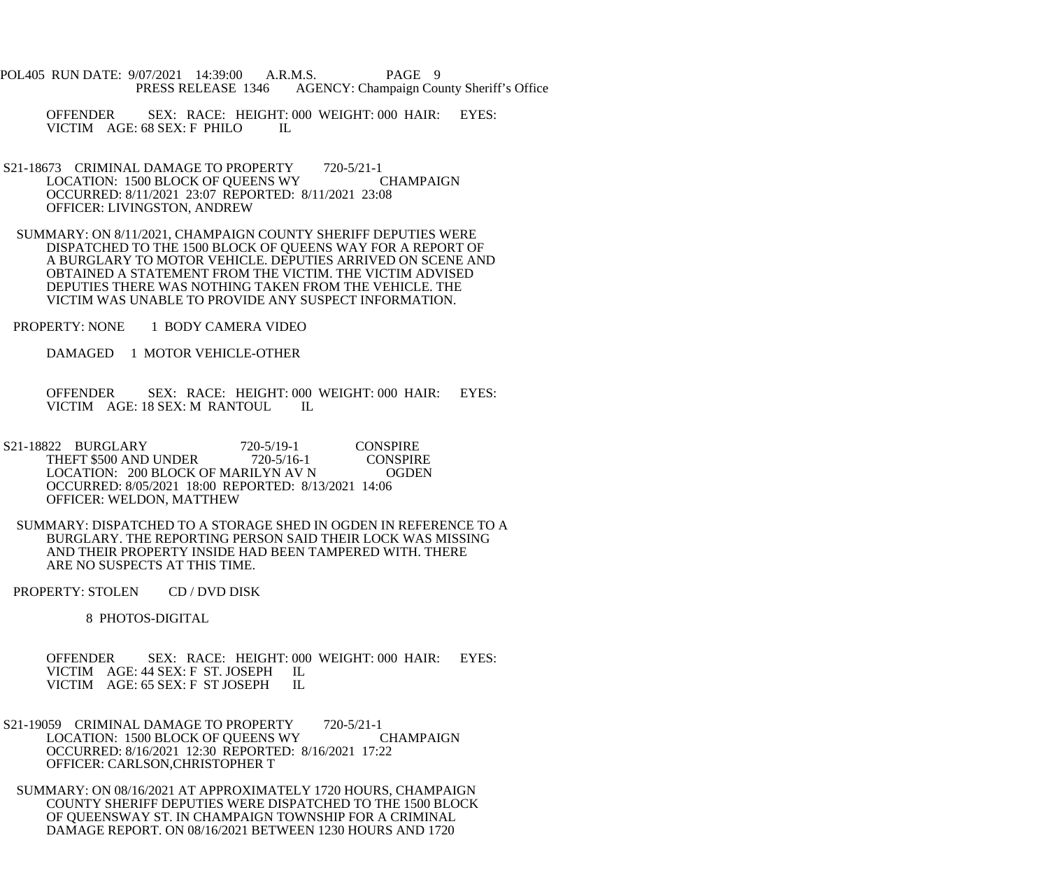- POL405 RUN DATE: 9/07/2021 14:39:00 A.R.M.S. PAGE 9 PRESS RELEASE 1346 AGENCY: Champaign County Sheriff's Office
	- OFFENDER SEX: RACE: HEIGHT: 000 WEIGHT: 000 HAIR: EYES: VICTIM AGE: 68 SEX: F PHILO IL
- S21-18673 CRIMINAL DAMAGE TO PROPERTY 720-5/21-1<br>LOCATION: 1500 BLOCK OF OUEENS WY CHAMPAIGN LOCATION: 1500 BLOCK OF QUEENS WY OCCURRED: 8/11/2021 23:07 REPORTED: 8/11/2021 23:08 OFFICER: LIVINGSTON, ANDREW
- SUMMARY: ON 8/11/2021, CHAMPAIGN COUNTY SHERIFF DEPUTIES WERE DISPATCHED TO THE 1500 BLOCK OF QUEENS WAY FOR A REPORT OF A BURGLARY TO MOTOR VEHICLE. DEPUTIES ARRIVED ON SCENE AND OBTAINED A STATEMENT FROM THE VICTIM. THE VICTIM ADVISED DEPUTIES THERE WAS NOTHING TAKEN FROM THE VEHICLE. THE VICTIM WAS UNABLE TO PROVIDE ANY SUSPECT INFORMATION.
- PROPERTY: NONE 1 BODY CAMERA VIDEO
	- DAMAGED 1 MOTOR VEHICLE-OTHER
	- OFFENDER SEX: RACE: HEIGHT: 000 WEIGHT: 000 HAIR: EYES: VICTIM AGE: 18 SEX: M RANTOUL IL VICTIM AGE: 18 SEX: M RANTOUL
- S21-18822 BURGLARY 720-5/19-1 CONSPIRE<br>THEFT \$500 AND UNDER 720-5/16-1 CONSPIRE THEFT \$500 AND UNDER 720-5/16-1 CONSPIRE<br>LOCATION: 200 BLOCK OF MARILYN AV N OGDEN LOCATION: 200 BLOCK OF MARILYN AV N OCCURRED: 8/05/2021 18:00 REPORTED: 8/13/2021 14:06 OFFICER: WELDON, MATTHEW
- SUMMARY: DISPATCHED TO A STORAGE SHED IN OGDEN IN REFERENCE TO A BURGLARY. THE REPORTING PERSON SAID THEIR LOCK WAS MISSING AND THEIR PROPERTY INSIDE HAD BEEN TAMPERED WITH. THERE ARE NO SUSPECTS AT THIS TIME.
- PROPERTY: STOLEN CD / DVD DISK

8 PHOTOS-DIGITAL

 OFFENDER SEX: RACE: HEIGHT: 000 WEIGHT: 000 HAIR: EYES: VICTIM AGE: 44 SEX: F ST. JOSEPH IL VICTIM AGE: 65 SEX: F ST JOSEPH IL

- S21-19059 CRIMINAL DAMAGE TO PROPERTY 720-5/21-1 LOCATION: 1500 BLOCK OF QUEENS WY CHAMPAIGN OCCURRED: 8/16/2021 12:30 REPORTED: 8/16/2021 17:22 OFFICER: CARLSON,CHRISTOPHER T
- SUMMARY: ON 08/16/2021 AT APPROXIMATELY 1720 HOURS, CHAMPAIGN COUNTY SHERIFF DEPUTIES WERE DISPATCHED TO THE 1500 BLOCK OF QUEENSWAY ST. IN CHAMPAIGN TOWNSHIP FOR A CRIMINAL DAMAGE REPORT. ON 08/16/2021 BETWEEN 1230 HOURS AND 1720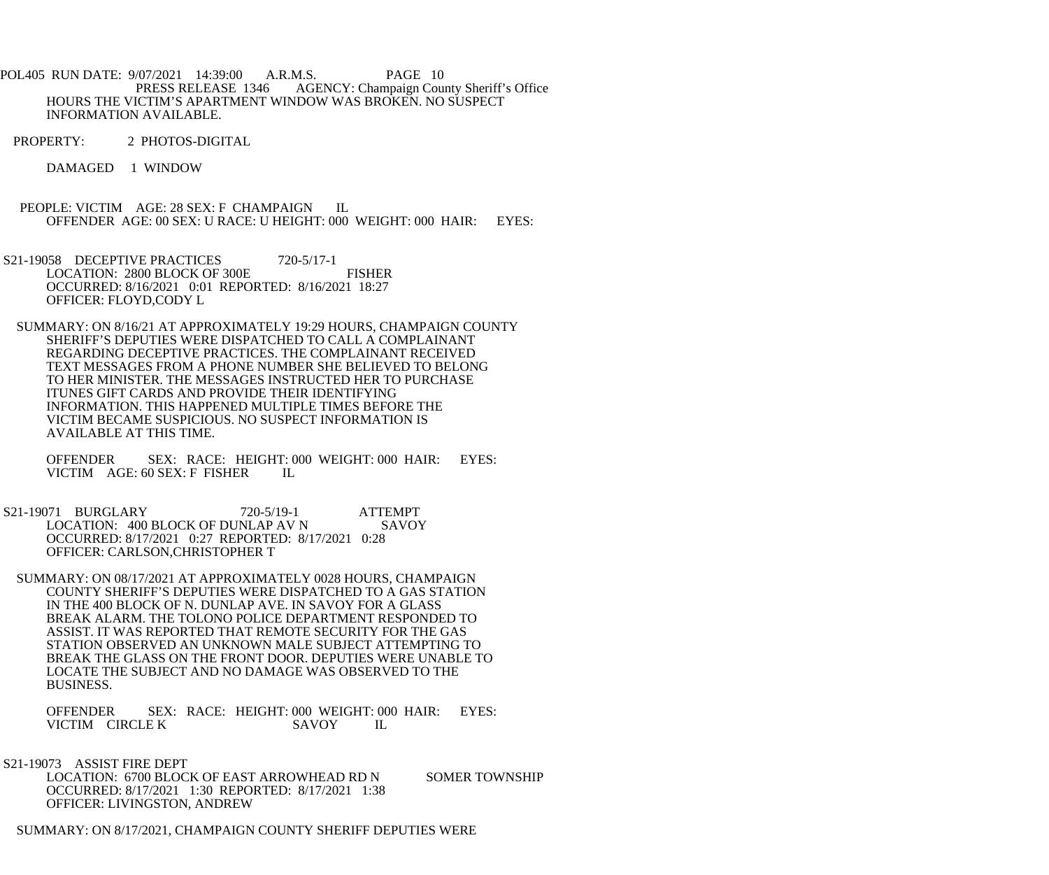- POL405 RUN DATE: 9/07/2021 14:39:00 A.R.M.S. PAGE 10 PRESS RELEASE 1346 AGENCY: Champaign County Sheriff's Office HOURS THE VICTIM'S APARTMENT WINDOW WAS BROKEN. NO SUSPECT INFORMATION AVAILABLE.
- PROPERTY: 2 PHOTOS-DIGITAL
	- DAMAGED 1 WINDOW
- PEOPLE: VICTIM AGE: 28 SEX: F CHAMPAIGN IL OFFENDER AGE: 00 SEX: U RACE: U HEIGHT: 000 WEIGHT: 000 HAIR: EYES:
- S21-19058 DECEPTIVE PRACTICES 720-5/17-1 LOCATION: 2800 BLOCK OF 300E FISHER OCCURRED: 8/16/2021 0:01 REPORTED: 8/16/2021 18:27 OFFICER: FLOYD,CODY L
- SUMMARY: ON 8/16/21 AT APPROXIMATELY 19:29 HOURS, CHAMPAIGN COUNTY SHERIFF'S DEPUTIES WERE DISPATCHED TO CALL A COMPLAINANT REGARDING DECEPTIVE PRACTICES. THE COMPLAINANT RECEIVED TEXT MESSAGES FROM A PHONE NUMBER SHE BELIEVED TO BELONG TO HER MINISTER. THE MESSAGES INSTRUCTED HER TO PURCHASE ITUNES GIFT CARDS AND PROVIDE THEIR IDENTIFYING INFORMATION. THIS HAPPENED MULTIPLE TIMES BEFORE THE VICTIM BECAME SUSPICIOUS. NO SUSPECT INFORMATION IS AVAILABLE AT THIS TIME.
	- OFFENDER SEX: RACE: HEIGHT: 000 WEIGHT: 000 HAIR: EYES:<br>VICTIM AGE: 60 SEX: F FISHER IL VICTIM AGE: 60 SEX: F FISHER
- S21-19071 BURGLARY 720-5/19-1 ATTEMPT LOCATION: 400 BLOCK OF DUNLAP AV N SAVOY OCCURRED: 8/17/2021 0:27 REPORTED: 8/17/2021 0:28 OFFICER: CARLSON,CHRISTOPHER T
	- SUMMARY: ON 08/17/2021 AT APPROXIMATELY 0028 HOURS, CHAMPAIGN COUNTY SHERIFF'S DEPUTIES WERE DISPATCHED TO A GAS STATION IN THE 400 BLOCK OF N. DUNLAP AVE. IN SAVOY FOR A GLASS BREAK ALARM. THE TOLONO POLICE DEPARTMENT RESPONDED TO ASSIST. IT WAS REPORTED THAT REMOTE SECURITY FOR THE GAS STATION OBSERVED AN UNKNOWN MALE SUBJECT ATTEMPTING TO BREAK THE GLASS ON THE FRONT DOOR. DEPUTIES WERE UNABLE TO LOCATE THE SUBJECT AND NO DAMAGE WAS OBSERVED TO THE BUSINESS.
		- OFFENDER SEX: RACE: HEIGHT: 000 WEIGHT: 000 HAIR: EYES:<br>VICTIM CIRCLE K SAVOY IL VICTIM CIRCLE K SAVOY IL
- S21-19073 ASSIST FIRE DEPT

LOCATION: 6700 BLOCK OF EAST ARROWHEAD RD N SOMER TOWNSHIP OCCURRED: 8/17/2021 1:30 REPORTED: 8/17/2021 1:38 OFFICER: LIVINGSTON, ANDREW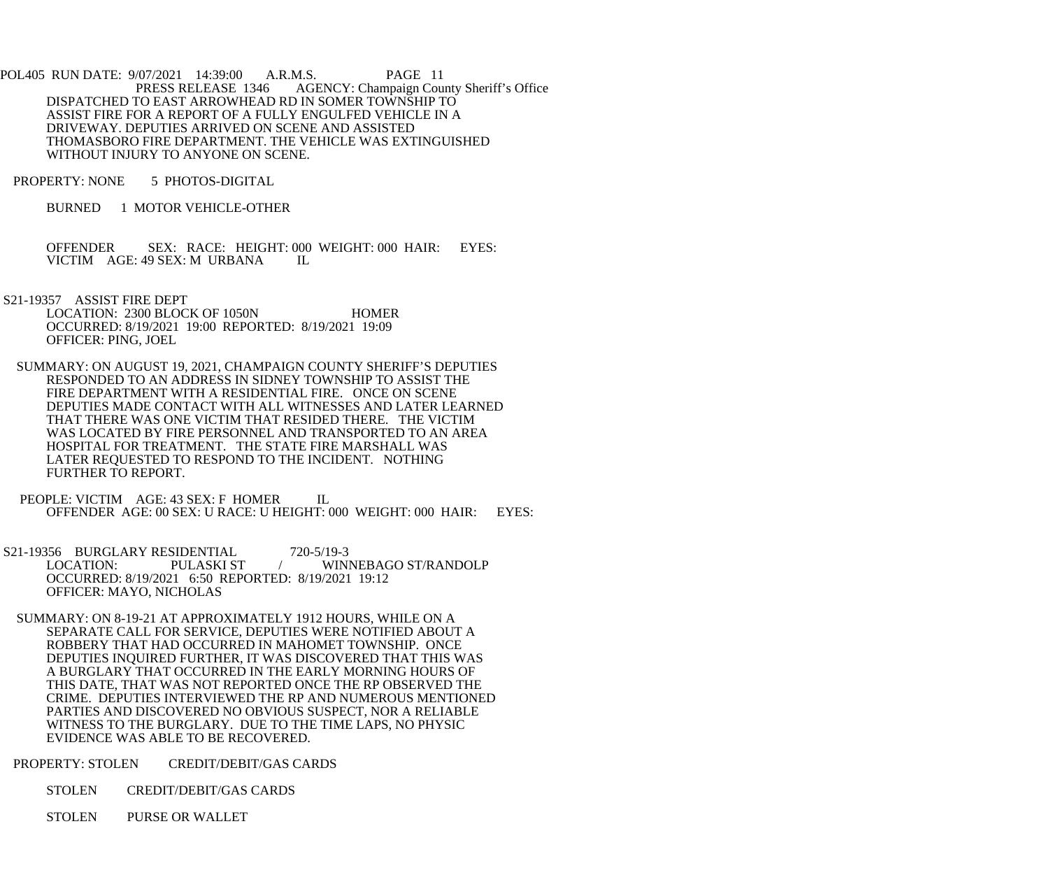- POL405 RUN DATE: 9/07/2021 14:39:00 A.R.M.S. PAGE 11<br>PRESS RELEASE 1346 AGENCY: Champaign Cou AGENCY: Champaign County Sheriff's Office DISPATCHED TO EAST ARROWHEAD RD IN SOMER TOWNSHIP TO ASSIST FIRE FOR A REPORT OF A FULLY ENGULFED VEHICLE IN A DRIVEWAY. DEPUTIES ARRIVED ON SCENE AND ASSISTED THOMASBORO FIRE DEPARTMENT. THE VEHICLE WAS EXTINGUISHED WITHOUT INJURY TO ANYONE ON SCENE.
- PROPERTY: NONE 5 PHOTOS-DIGITAL
	- BURNED 1 MOTOR VEHICLE-OTHER

OFFENDER SEX: RACE: HEIGHT: 000 WEIGHT: 000 HAIR: EYES: VICTIM AGE: 49 SEX: M URBANA IL VICTIM AGE: 49 SEX: M URBANA

 S21-19357 ASSIST FIRE DEPT LOCATION: 2300 BLOCK OF 1050N HOMER OCCURRED: 8/19/2021 19:00 REPORTED: 8/19/2021 19:09 OFFICER: PING, JOEL

- SUMMARY: ON AUGUST 19, 2021, CHAMPAIGN COUNTY SHERIFF'S DEPUTIES RESPONDED TO AN ADDRESS IN SIDNEY TOWNSHIP TO ASSIST THE FIRE DEPARTMENT WITH A RESIDENTIAL FIRE. ONCE ON SCENE DEPUTIES MADE CONTACT WITH ALL WITNESSES AND LATER LEARNED THAT THERE WAS ONE VICTIM THAT RESIDED THERE. THE VICTIM WAS LOCATED BY FIRE PERSONNEL AND TRANSPORTED TO AN AREA HOSPITAL FOR TREATMENT. THE STATE FIRE MARSHALL WAS LATER REQUESTED TO RESPOND TO THE INCIDENT. NOTHING FURTHER TO REPORT.
- PEOPLE: VICTIM AGE: 43 SEX: F HOMER IL OFFENDER AGE: 00 SEX: U RACE: U HEIGHT: 000 WEIGHT: 000 HAIR: EYES:
- S21-19356 BURGLARY RESIDENTIAL 720-5/19-3<br>LOCATION: PULASKI ST / WIN LOCATION: PULASKI ST / WINNEBAGO ST/RANDOLP OCCURRED: 8/19/2021 6:50 REPORTED: 8/19/2021 19:12 OFFICER: MAYO, NICHOLAS
- SUMMARY: ON 8-19-21 AT APPROXIMATELY 1912 HOURS, WHILE ON A SEPARATE CALL FOR SERVICE, DEPUTIES WERE NOTIFIED ABOUT A ROBBERY THAT HAD OCCURRED IN MAHOMET TOWNSHIP. ONCE DEPUTIES INQUIRED FURTHER, IT WAS DISCOVERED THAT THIS WAS A BURGLARY THAT OCCURRED IN THE EARLY MORNING HOURS OF THIS DATE, THAT WAS NOT REPORTED ONCE THE RP OBSERVED THE CRIME. DEPUTIES INTERVIEWED THE RP AND NUMEROUS MENTIONED PARTIES AND DISCOVERED NO OBVIOUS SUSPECT, NOR A RELIABLE WITNESS TO THE BURGLARY. DUE TO THE TIME LAPS, NO PHYSIC EVIDENCE WAS ABLE TO BE RECOVERED.
- PROPERTY: STOLEN CREDIT/DEBIT/GAS CARDS
	- STOLEN CREDIT/DEBIT/GAS CARDS
	- STOLEN PURSE OR WALLET